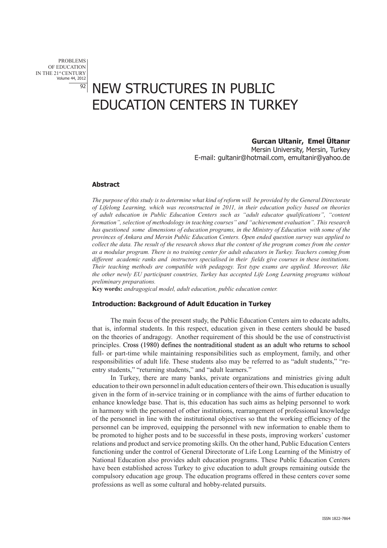# NEW STRUCTURES IN PUBLIC EDUCATION CENTERS IN TURKEY

# **Gurcan Ultanir, Emel Ültanır**

Mersin University, Mersin, Turkey E-mail: gultanir@hotmail.com, emultanir@yahoo.de

#### **Abstract**

*The purpose of this study is to determine what kind of reform will be provided by the General Directorate of Lifelong Learning, which was reconstructed in 2011, in their education policy based on theories of adult education in Public Education Centers such as "adult educator qualifications", "content formation", selection of methodology in teaching courses" and "achievement evaluation". This research has questioned some dimensions of education programs, in the Ministry of Education with some of the provinces of Ankara and Mersin Public Education Centers. Open ended question survey was applied to collect the data. The result of the research shows that the content of the program comes from the center as a modular program. There is no training center for adult educators in Turkey. Teachers coming from different academic ranks and instructors specialised in their fields give courses in these institutions. Their teaching methods are compatible with pedagogy. Test type exams are applied. Moreover, like the other newly EU participant countries, Turkey has accepted Life Long Learning programs without preliminary preparations.* 

**Key words:** *andragogical model, adult education, public education center.* 

#### **Introduction: Background of Adult Education in Turkey**

The main focus of the present study, the Public Education Centers aim to educate adults, that is, informal students. In this respect, education given in these centers should be based on the theories of andragogy. Another requirement of this should be the use of constructivist principles. Cross (1980)���� defines the nontraditional student as an adult who returns to school full- or part-time while maintaining responsibilities such as employment, family, and other responsibilities of adult life. These students also may be referred to as "adult students," "reentry students," "returning students," and "adult learners."

In Turkey, there are many banks, private organizations and ministries giving adult education to their own personnel in adult education centers of their own. This education is usually given in the form of in-service training or in compliance with the aims of further education to enhance knowledge base. That is, this education has such aims as helping personnel to work in harmony with the personnel of other institutions, rearrangement of professional knowledge of the personnel in line with the institutional objectives so that the working efficiency of the personnel can be improved, equipping the personnel with new information to enable them to be promoted to higher posts and to be successful in these posts, improving workers' customer relations and product and service promoting skills. On the other hand, Public Education Centers functioning under the control of General Directorate of Life Long Learning of the Ministry of National Education also provides adult education programs. These Public Education Centers have been established across Turkey to give education to adult groups remaining outside the compulsory education age group. The education programs offered in these centers cover some professions as well as some cultural and hobby-related pursuits.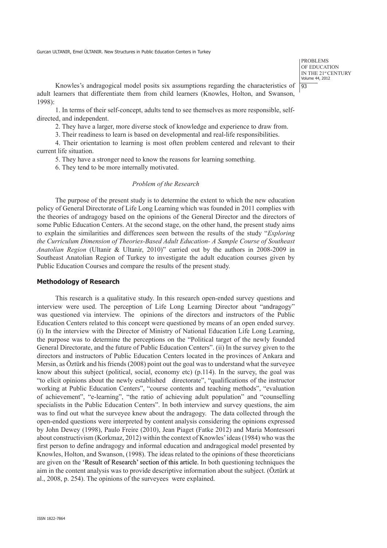problems OF EDUCATION IN THE 21st CENTURY Volume 44, 2012 93

Knowles's andragogical model posits six assumptions regarding the characteristics of adult learners that differentiate them from child learners (Knowles, Holton, and Swanson, 1998):

1. In terms of their self-concept, adults tend to see themselves as more responsible, selfdirected, and independent.

2. They have a larger, more diverse stock of knowledge and experience to draw from.

3. Their readiness to learn is based on developmental and real-life responsibilities.

4. Their orientation to learning is most often problem centered and relevant to their current life situation.

5. They have a stronger need to know the reasons for learning something.

6. They tend to be more internally motivated.

#### *Problem of the Research*

The purpose of the present study is to determine the extent to which the new education policy of General Directorate of Life Long Learning which was founded in 2011 complies with the theories of andragogy based on the opinions of the General Director and the directors of some Public Education Centers. At the second stage, on the other hand, the present study aims to explain the similarities and differences seen between the results of the study "*Exploring the Curriculum Dimension of Theories-Based Adult Education- A Sample Course of Southeast Anatolian Region* (Ultanir & Ultanir, 2010)" carried out by the authors in 2008-2009 in Southeast Anatolian Region of Turkey to investigate the adult education courses given by Public Education Courses and compare the results of the present study.

### **Methodology of Research**

This research is a qualitative study. In this research open-ended survey questions and interview were used. The perception of Life Long Learning Director about "andragogy" was questioned via interview. The opinions of the directors and instructors of the Public Education Centers related to this concept were questioned by means of an open ended survey. (i) In the interview with the Director of Ministry of National Education Life Long Learning, the purpose was to determine the perceptions on the "Political target of the newly founded General Directorate, and the future of Public Education Centers". (ii) In the survey given to the directors and instructors of Public Education Centers located in the provinces of Ankara and Mersin, as Öztürk and his friends (2008) point out the goal was to understand what the surveyee know about this subject (political, social, economy etc)  $(p.114)$ . In the survey, the goal was "to elicit opinions about the newly established directorate", "qualifications of the instructor working at Public Education Centers", "course contents and teaching methods", "evaluation of achievement", "e-learning", "the ratio of achieving adult population" and "counselling specialists in the Public Education Centers". In both interview and survey questions, the aim was to find out what the surveyee knew about the andragogy. The data collected through the open-ended questions were interpreted by content analysis considering the opinions expressed by John Dewey (1998), Paulo Freire (2010), Jean Piaget (Fatke 2012) and Maria Montessori about constructivism (Korkmaz, 2012) within the context of Knowles' ideas (1984) who was the first person to define andragogy and informal education and andragogical model presented by Knowles, Holton, and Swanson, (1998). The ideas related to the opinions of these theoreticians are given on the �'Result of Research' section of this article. In both questioning techniques the aim in the content analysis was to provide descriptive information about the subject. (Öztürk at al., 2008, p. 254). The opinions of the surveyees were explained.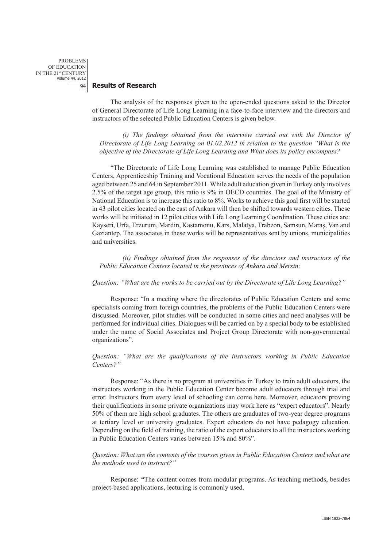problems OF EDUCATION IN THE 21st CENTURY Volume 44, 2012  $\overline{Q_4}$ 

#### **Results of Research**

The analysis of the responses given to the open-ended questions asked to the Director of General Directorate of Life Long Learning in a face-to-face interview and the directors and instructors of the selected Public Education Centers is given below.

*(i) The findings obtained from the interview carried out with the Director of Directorate of Life Long Learning on 01.02.2012 in relation to the question "What is the objective of the Directorate of Life Long Learning and What does its policy encompass?* 

"The Directorate of Life Long Learning was established to manage Public Education Centers, Apprenticeship Training and Vocational Education serves the needs of the population aged between 25 and 64 in September 2011. While adult education given in Turkey only involves 2.5% of the target age group, this ratio is 9% in OECD countries. The goal of the Ministry of National Education is to increase this ratio to 8%. Works to achieve this goal first will be started in 43 pilot cities located on the east of Ankara will then be shifted towards western cities. These works will be initiated in 12 pilot cities with Life Long Learning Coordination. These cities are: Kayseri, Urfa, Erzurum, Mardin, Kastamonu, Kars, Malatya, Trabzon, Samsun, Maraş, Van and Gaziantep. The associates in these works will be representatives sent by unions, municipalities and universities.

*(ii) Findings obtained from the responses of the directors and instructors of the Public Education Centers located in the provinces of Ankara and Mersin:*

#### *Question: "What are the works to be carried out by the Directorate of Life Long Learning?"*

Response: "In a meeting where the directorates of Public Education Centers and some specialists coming from foreign countries, the problems of the Public Education Centers were discussed. Moreover, pilot studies will be conducted in some cities and need analyses will be performed for individual cities. Dialogues will be carried on by a special body to be established under the name of Social Associates and Project Group Directorate with non-governmental organizations".

# *Question: "What are the qualifications of the instructors working in Public Education Centers?"*

Response: "As there is no program at universities in Turkey to train adult educators, the instructors working in the Public Education Center become adult educators through trial and error. Instructors from every level of schooling can come here. Moreover, educators proving their qualifications in some private organizations may work here as "expert educators". Nearly 50% of them are high school graduates. The others are graduates of two-year degree programs at tertiary level or university graduates. Expert educators do not have pedagogy education. Depending on the field of training, the ratio of the expert educators to all the instructors working in Public Education Centers varies between 15% and 80%".

# *Question: What are the contents of the courses given in Public Education Centers and what are the methods used to instruct?"*

Response: *"*The content comes from modular programs. As teaching methods, besides project-based applications, lecturing is commonly used.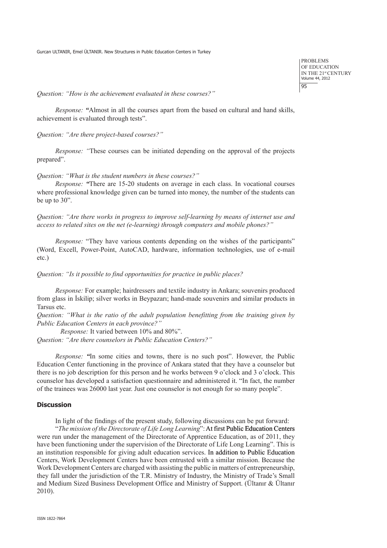problems OF EDUCATION IN THE 21st CENTURY Volume 44, 2012 95

*Question: "How is the achievement evaluated in these courses?"* 

*Response: "*Almost in all the courses apart from the based on cultural and hand skills, achievement is evaluated through tests".

*Question: "Are there project-based courses?"* 

*Response: "*These courses can be initiated depending on the approval of the projects prepared".

*Question: "What is the student numbers in these courses?"* 

*Response: "*There are 15-20 students on average in each class. In vocational courses where professional knowledge given can be turned into money, the number of the students can be up to 30".

*Question: "Are there works in progress to improve self-learning by means of internet use and access to related sites on the net (e-learning) through computers and mobile phones?"* 

*Response:* "They have various contents depending on the wishes of the participants" (Word, Excell, Power-Point, AutoCAD, hardware, information technologies, use of e-mail etc.)

*Question: "Is it possible to find opportunities for practice in public places?* 

*Response:* For example; hairdressers and textile industry in Ankara; souvenirs produced from glass in İskilip; silver works in Beypazarı; hand-made souvenirs and similar products in Tarsus etc.

*Question: "What is the ratio of the adult population benefitting from the training given by Public Education Centers in each province?"* 

 *Response:* It varied between 10% and 80%". *Question: "Are there counselors in Public Education Centers?"* 

*Response: "*In some cities and towns, there is no such post". However, the Public Education Center functioning in the province of Ankara stated that they have a counselor but there is no job description for this person and he works between 9 o'clock and 3 o'clock. This counselor has developed a satisfaction questionnaire and administered it. "In fact, the number of the trainees was 26000 last year. Just one counselor is not enough for so many people".

# **Discussion**

In light of the findings of the present study, following discussions can be put forward:

"*The mission of the Directorate of Life Long Learning*": At first Public Education Centers were run under the management of the Directorate of Apprentice Education, as of 2011, they have been functioning under the supervision of the Directorate of Life Long Learning". This is an institution responsible for giving adult education services. In addition to Public Education Centers, Work Development Centers have been entrusted with a similar mission. Because the Work Development Centers are charged with assisting the public in matters of entrepreneurship, they fall under the jurisdiction of the T.R. Ministry of Industry, the Ministry of Trade's Small and Medium Sized Business Development Office and Ministry of Support. (Ültanır & Ültanır 2010).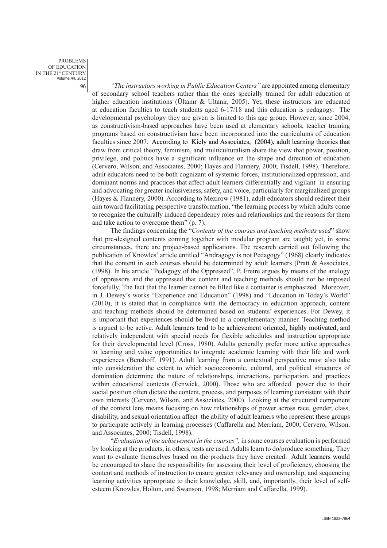*"The instructors working in Public Education Centers"* are appointed among elementary of secondary school teachers rather than the ones specially trained for adult education at higher education institutions (Ültanır & Ultanir, 2005). Yet, these instructors are educated at education faculties to teach students aged 6-17/18 and this education is pedagogy. The developmental psychology they are given is limited to this age group. However, since 2004, as constructivism-based approaches have been used at elementary schools, teacher training programs based on constructivism have been incorporated into the curriculums of education faculties since 2007. According to Kiely and Associates, (2004), adult learning theories that draw from critical theory, feminism, and multiculturalism share the view that power, position, privilege, and politics have a significant influence on the shape and direction of education (Cervero, Wilson, and Associates, 2000; Hayes and Flannery, 2000; Tisdell, 1998). Therefore, adult educators need to be both cognizant of systemic forces, institutionalized oppression, and dominant norms and practices that affect adult learners differentially and vigilant in ensuring and advocating for greater inclusiveness, safety, and voice, particularly for marginalized groups (Hayes & Flannery, 2000). According to Mezirow (1981), adult educators should redirect their aim toward facilitating perspective transformation, "the learning process by which adults come to recognize the culturally induced dependency roles and relationships and the reasons for them and take action to overcome them" (p. 7).

The findings concerning the "*Contents of the courses and teaching methods used*" show that pre-designed contents coming together with modular program are taught; yet, in some circumstances, there are project-based applications. The research carried out following the publication of Knowles' article entitled "Andragogy is not Pedagogy" (1968) clearly indicates that the content in such courses should be determined by adult learners (Pratt  $\&$  Associates, (1998). In his article "Pedagogy of the Oppressed", P. Freire argues by means of the analogy of oppressors and the oppressed that content and teaching methods should not be imposed forcefully. The fact that the learner cannot be filled like a container is emphasized. Moreover, in J. Dewey's works "Experience and Education" (1998) and "Education in Today's World" (2010), it is stated that in compliance with the democracy in education approach, content and teaching methods should be determined based on students' experiences. For Dewey, it is important that experiences should be lived in a complementary manner. Teaching method is argued to be active. Adult learners tend to be achievement oriented, highly motivated, and relatively independent with special needs for flexible schedules and instruction appropriate for their developmental level (Cross, 1980). Adults generally prefer more active approaches to learning and value opportunities to integrate academic learning with their life and work experiences (Benshoff, 1991). Adult learning from a contextual perspective must also take into consideration the extent to which socioeconomic, cultural, and political structures of domination determine the nature of relationships, interactions, participation, and practices within educational contexts (Fenwick, 2000). Those who are afforded power due to their social position often dictate the content, process, and purposes of learning consistent with their own interests (Cervero, Wilson, and Associates, 2000). Looking at the structural component of the context lens means focusing on how relationships of power across race, gender, class, disability, and sexual orientation affect the ability of adult learners who represent these groups to participate actively in learning processes (Caffarella and Merriam, 2000; Cervero, Wilson, and Associates, 2000; Tisdell, 1998).

"*Evaluation of the achievement in the courses",* in some courses evaluation is performed by looking at the products, in others, tests are used. Adults learn to do/produce something. They want to evaluate themselves based on the products they have created. Adult learners would be encouraged to share the responsibility for assessing their level of proficiency, choosing the content and methods of instruction to ensure greater relevancy and ownership, and sequencing learning activities appropriate to their knowledge, skill, and, importantly, their level of selfesteem (Knowles, Holton, and Swanson, 1998; Merriam and Caffarella, 1999).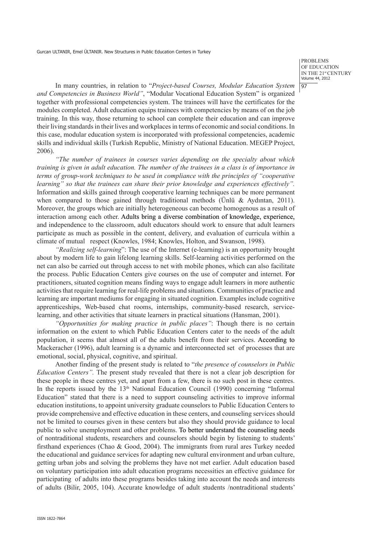problems OF EDUCATION IN THE 21st CENTURY Volume 44, 2012 97

In many countries, in relation to "*Project-based Courses, Modular Education System and Competencies in Business World"*, "Modular Vocational Education System" is organized together with professional competencies system. The trainees will have the certificates for the modules completed. Adult education equips trainees with competencies by means of on the job training. In this way, those returning to school can complete their education and can improve their living standards in their lives and workplaces in terms of economic and social conditions. In this case, modular education system is incorporated with professional competencies, academic skills and individual skills (Turkish Republic, Ministry of National Education. MEGEP Project, 2006).

*"The number of trainees in courses varies depending on the specialty about which training is given in adult education. The number of the trainees in a class is of importance in terms of group-work techniques to be used in compliance with the principles of "cooperative learning" so that the trainees can share their prior knowledge and experiences effectively".*  Information and skills gained through cooperative learning techniques can be more permanent when compared to those gained through traditional methods (Ünlü & Aydıntan, 2011). Moreover, the groups which are initially heterogeneous can become homogenous as a result of interaction among each other. Adults bring a diverse combination of knowledge, experience, and independence to the classroom, adult educators should work to ensure that adult learners participate as much as possible in the content, delivery, and evaluation of curricula within a climate of mutual respect (Knowles, 1984; Knowles, Holton, and Swanson, 1998).

*"Realizing self-learning*": The use of the Internet (e-learning) is an opportunity brought about by modern life to gain lifelong learning skills. Self-learning activities performed on the net can also be carried out through access to net with mobile phones, which can also facilitate the process. Public Education Centers give courses on the use of computer and internet. For practitioners, situated cognition means finding ways to engage adult learners in more authentic activities that require learning for real-life problems and situations. Communities of practice and learning are important mediums for engaging in situated cognition. Examples include cognitive apprenticeships, Web-based chat rooms, internships, community-based research, servicelearning, and other activities that situate learners in practical situations (Hansman, 2001).

*"Opportunities for making practice in public places"*: Though there is no certain information on the extent to which Public Education Centers cater to the needs of the adult population, it seems that almost all of the adults benefit from their services. According to Mackeracher (1996), adult learning is a dynamic and interconnected set of processes that are emotional, social, physical, cognitive, and spiritual.

Another finding of the present study is related to "*the presence of counselors in Public Education Centers".* The present study revealed that there is not a clear job description for these people in these centres yet, and apart from a few, there is no such post in these centres. In the reports issued by the  $13<sup>th</sup>$  National Education Council (1990) concerning "Informal Education" stated that there is a need to support counseling activities to improve informal education institutions, to appoint university graduate counselors to Public Education Centers to provide comprehensive and effective education in these centers, and counseling services should not be limited to courses given in these centers but also they should provide guidance to local public to solve unemployment and other problems. To better understand the counseling needs of nontraditional students, researchers and counselors should begin by listening to students' firsthand experiences (Chao  $\&$  Good, 2004). The immigrants from rural ares Turkey needed the educational and guidance services for adapting new cultural environment and urban culture, getting urban jobs and solving the problems they have not met earlier. Adult education based on voluntary participation into adult education programs necessities an effective guidance for participating of adults into these programs besides taking into account the needs and interests of adults (Bilir, 2005, 104). Accurate knowledge of adult students /nontraditional students'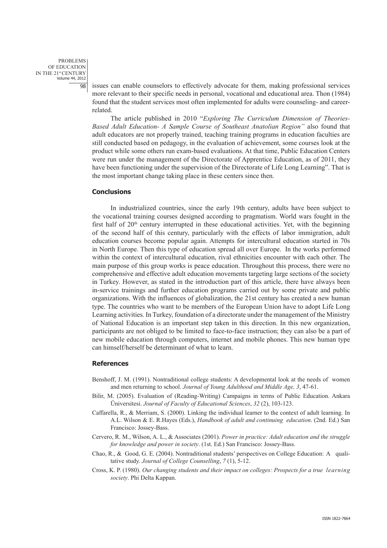issues can enable counselors to effectively advocate for them, making professional services more relevant to their specific needs in personal, vocational and educational area. Thon (1984) found that the student services most often implemented for adults were counseling- and careerrelated.

The article published in 2010 "*Exploring The Curriculum Dimension of Theories-Based Adult Education- A Sample Course of Southeast Anatolian Region"* also found that adult educators are not properly trained, teaching training programs in education faculties are still conducted based on pedagogy, in the evaluation of achievement, some courses look at the product while some others run exam-based evaluations. At that time, Public Education Centers were run under the management of the Directorate of Apprentice Education, as of 2011, they have been functioning under the supervision of the Directorate of Life Long Learning". That is the most important change taking place in these centers since then.

#### **Conclusions**

In industrialized countries, since the early 19th century, adults have been subject to the vocational training courses designed according to pragmatism. World wars fought in the first half of  $20<sup>th</sup>$  century interrupted in these educational activities. Yet, with the beginning of the second half of this century, particularly with the effects of labor immigration, adult education courses become popular again. Attempts for intercultural education started in 70s in North Europe. Then this type of education spread all over Europe. In the works performed within the context of intercultural education, rival ethnicities encounter with each other. The main purpose of this group works is peace education. Throughout this process, there were no comprehensive and effective adult education movements targeting large sections of the society in Turkey. However, as stated in the introduction part of this article, there have always been in-service trainings and further education programs carried out by some private and public organizations. With the influences of globalization, the 21st century has created a new human type. The countries who want to be members of the European Union have to adopt Life Long Learning activities. In Turkey, foundation of a directorate under the management of the Ministry of National Education is an important step taken in this direction. In this new organization, participants are not obliged to be limited to face-to-face instruction; they can also be a part of new mobile education through computers, internet and mobile phones. This new human type can himself/herself be determinant of what to learn.

#### **References**

- Benshoff, J. M. (1991). Nontraditional college students: A developmental look at the needs of women and men returning to school. *Journal of Young Adulthood and Middle Age, 3*, 47-61.
- Bilir, M. (2005). Evaluation of (Reading-Writing) Campaigns in terms of Public Education. Ankara Üniversitesi. *Journal of Faculty of Educational Sciences*, *32* (2), 103-123.
- Caffarella, R., & Merriam, S. (2000). Linking the individual learner to the context of adult learning. In A.L. Wilson & E. R.Hayes (Eds.), *Handbook of adult and continuing education*. (2nd. Ed.) San Francisco: Jossey-Bass.
- Cervero, R. M., Wilson, A. L., & Associates (2001). *Power in practice: Adult education and the struggle for knowledge and power in society*. (1st. Ed.) San Francisco: Jossey-Bass.
- Chao, R., & Good, G. E. (2004). Nontraditional students' perspectives on College Education: A qualitative study. *Journal of College Counselling*, *7* (1), 5-12.
- Cross, K. P. (1980). *Our changing students and their impact on colleges: Prospects for a true learning society*. Phi Delta Kappan.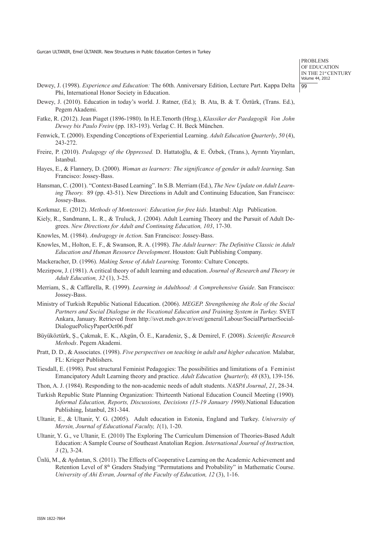problems OF EDUCATION IN THE 21st CENTURY Volume 44, 2012  $|qq$ 

- Dewey, J. (1998). *Experience and Education:* The 60th. Anniversary Edition, Lecture Part. Kappa Delta Phi, International Honor Society in Education.
- Dewey, J. (2010). Education in today's world. J. Ratner, (Ed.); B. Ata, B. & T. Öztürk, (Trans. Ed.), Pegem Akademi.
- Fatke, R. (2012). Jean Piaget (1896-1980). In H.E.Tenorth (Hrsg.), *Klassiker der Paedagogik Von John Dewey bis Paulo Freire* (pp. 183-193). Verlag C. H. Beck München.
- Fenwick, T. (2000). Expending Conceptions of Experiential Learning. *Adult Education Quarterly*, *50* (4), 243-272.
- Freire, P. (2010). *Pedagogy of the Oppressed.* D. Hattatoğlu, & E. Özbek, (Trans.), Ayrıntı Yayınları, İstanbul.
- Hayes, E., & Flannery, D. (2000). *Woman as learners: The significance of gender in adult learning*. San Francisco: Jossey-Bass.
- Hansman, C. (2001). "Context-Based Learning". In S.B. Merriam (Ed.), *The New Update on Adult Learning Theory.* 89 (pp. 43-51). New Directions in Adult and Continuing Education, San Francisco: Jossey-Bass.
- Korkmaz, E. (2012). *Methods of Montessori: Education for free kids*. İstanbul: Algı Publication.
- Kiely, R., Sandmann, L. R., & Truluck, J. (2004). Adult Learning Theory and the Pursuit of Adult Degrees. *New Directions for Adult and Continuing Education, 103*, 17-30.
- Knowles, M. (1984). *Andragogy in Action*. San Francisco: Jossey-Bass.
- Knowles, M., Holton, E. F., & Swanson, R. A. (1998). *The Adult learner: The Definitive Classic in Adult Education and Human Resource Development*. Houston: Gult Publishing Company.
- Mackeracher, D. (1996). *Making Sense of Adult Learning.* Toronto: Culture Concepts.
- Mezirpow, J. (1981). A critical theory of adult learning and education. *Journal of Research and Theory in Adult Education, 32* (1), 3-25.
- Merriam, S., & Caffarella, R. (1999). *Learning in Adulthood: A Comprehensive Guide*. San Francisco: Jossey-Bass.
- Ministry of Turkish Republic National Education. (2006). *MEGEP. Strengthening the Role of the Social Partners and Social Dialogue in the Vocational Education and Training System in Turkey.* SVET Ankara, January. Retrieved from http://svet.meb.gov.tr/svet/general/Labour/SocialPartnerSocial-DialoguePolicyPaperOct06.pdf
- Büyüköztürk, Ş., Çakmak, E. K., Akgün, Ö. E., Karadeniz, Ş., & Demirel, F. (2008). *Scientific Research Methods*. Pegem Akademi.
- Pratt, D. D., & Associates. (1998). *Five perspectives on teaching in adult and higher education.* Malabar, FL: Krieger Publishers.
- Tiesdall, E. (1998). Post structural Feminist Pedagogies: The possibilities and limitations of a Feminist Emancipatory Adult Learning theory and practice. *Adult Education Quarterly, 48* (83), 139-156.
- Thon, A. J. (1984). Responding to the non-academic needs of adult students. *NASPA Journal*, *21*, 28-34.
- Turkish Republic State Planning Organization: Thirteenth National Education Council Meeting (1990)*. Informal Education, Reports, Discussions, Decisions (15-19 January 1990)*.National Education Publishing, İstanbul, 281-344.
- Ultanir, E., & Ultanir, Y. G. (2005). Adult education in Estonia, England and Turkey. *University of Mersin, Journal of Educational Faculty, 1*(1), 1-20.
- Ultanir, Y. G., ve Ultanir, E. (2010) The Exploring The Curriculum Dimension of Theories-Based Adult Education: A Sample Course of Southeast Anatolian Region. *International Journal of Instruction, 3* (2), 3-24.
- Ünlü, M., & Aydıntan, S. (2011). The Effects of Cooperative Learning on the Academic Achievement and Retention Level of 8th Graders Studying "Permutations and Probability" in Mathematic Course. *University of Ahi Evran, Journal of the Faculty of Education, 12* (3), 1-16.